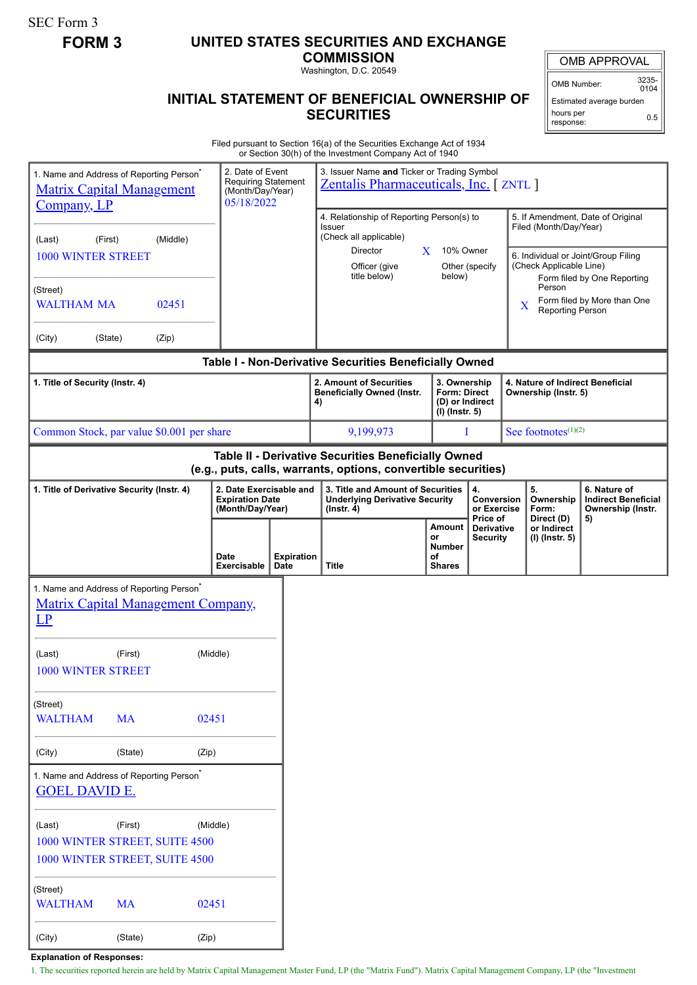SEC Form 3

## **FORM 3 UNITED STATES SECURITIES AND EXCHANGE**

**COMMISSION** Washington, D.C. 20549

OMB APPROVAL

OMB Number: 3235-  $0104$ 

## **INITIAL STATEMENT OF BENEFICIAL OWNERSHIP OF SECURITIES**

Estimated average burden hours per response: 0.5

Filed pursuant to Section 16(a) of the Securities Exchange Act of 1934 or Section 30(h) of the Investment Company Act of 1940

| 1. Name and Address of Reporting Person <sup>®</sup><br><b>Matrix Capital Management</b><br>Company, LP               |           |          |                            | 2. Date of Event<br><b>Requiring Statement</b><br>(Month/Day/Year)<br>05/18/2022 |    | 3. Issuer Name and Ticker or Trading Symbol<br><b>Zentalis Pharmaceuticals, Inc.</b> [ZNTL]                                       |          |                                                                     |                                             |             |                                                                                                                               |                                                                       |  |
|-----------------------------------------------------------------------------------------------------------------------|-----------|----------|----------------------------|----------------------------------------------------------------------------------|----|-----------------------------------------------------------------------------------------------------------------------------------|----------|---------------------------------------------------------------------|---------------------------------------------|-------------|-------------------------------------------------------------------------------------------------------------------------------|-----------------------------------------------------------------------|--|
| (First)<br>(Last)<br><b>1000 WINTER STREET</b>                                                                        |           | (Middle) |                            |                                                                                  |    | 4. Relationship of Reporting Person(s) to<br><b>Issuer</b><br>(Check all applicable)<br>Director<br>Officer (give<br>title below) | X.       | 10% Owner                                                           | Other (specify                              |             | 5. If Amendment, Date of Original<br>Filed (Month/Day/Year)<br>6. Individual or Joint/Group Filing<br>(Check Applicable Line) |                                                                       |  |
| (Street)<br><b>WALTHAM MA</b>                                                                                         |           | 02451    |                            |                                                                                  |    |                                                                                                                                   |          | below)                                                              |                                             | $\mathbf X$ | Person<br>Reporting Person                                                                                                    | Form filed by One Reporting<br>Form filed by More than One            |  |
| (City)<br>(State)                                                                                                     |           | (Zip)    |                            |                                                                                  |    |                                                                                                                                   |          |                                                                     |                                             |             |                                                                                                                               |                                                                       |  |
| Table I - Non-Derivative Securities Beneficially Owned                                                                |           |          |                            |                                                                                  |    |                                                                                                                                   |          |                                                                     |                                             |             |                                                                                                                               |                                                                       |  |
| 1. Title of Security (Instr. 4)                                                                                       |           |          |                            |                                                                                  | 4) | 2. Amount of Securities<br><b>Beneficially Owned (Instr.</b>                                                                      |          | 3. Ownership<br>Form: Direct<br>(D) or Indirect<br>$(I)$ (Instr. 5) |                                             |             | 4. Nature of Indirect Beneficial<br>Ownership (Instr. 5)                                                                      |                                                                       |  |
| Common Stock, par value \$0.001 per share                                                                             |           |          |                            |                                                                                  |    | 9,199,973                                                                                                                         |          | L                                                                   |                                             |             | See footnotes $(1)(2)$                                                                                                        |                                                                       |  |
| Table II - Derivative Securities Beneficially Owned<br>(e.g., puts, calls, warrants, options, convertible securities) |           |          |                            |                                                                                  |    |                                                                                                                                   |          |                                                                     |                                             |             |                                                                                                                               |                                                                       |  |
| 2. Date Exercisable and<br>1. Title of Derivative Security (Instr. 4)<br><b>Expiration Date</b><br>(Month/Day/Year)   |           |          |                            |                                                                                  |    | 3. Title and Amount of Securities<br><b>Underlying Derivative Security</b><br>$($ lnstr. 4 $)$                                    |          |                                                                     | 4.<br>Conversion<br>or Exercise<br>Price of |             | 5.<br>Ownership<br>Form:<br>Direct (D)                                                                                        | 6. Nature of<br><b>Indirect Beneficial</b><br>Ownership (Instr.<br>5) |  |
|                                                                                                                       |           |          | <b>Date</b><br>Exercisable | <b>Expiration</b><br>Date                                                        |    | <b>Title</b>                                                                                                                      | or<br>оf | Amount<br><b>Number</b><br><b>Shares</b>                            | Derivative<br><b>Security</b>               |             | or Indirect<br>(I) (Instr. 5)                                                                                                 |                                                                       |  |
| 1. Name and Address of Reporting Person <sup>*</sup><br><b>Matrix Capital Management Company,</b><br>$L$ P            |           |          |                            |                                                                                  |    |                                                                                                                                   |          |                                                                     |                                             |             |                                                                                                                               |                                                                       |  |
| (Last)<br>1000 WINTER STREET                                                                                          | (First)   |          | (Middle)                   |                                                                                  |    |                                                                                                                                   |          |                                                                     |                                             |             |                                                                                                                               |                                                                       |  |
| (Street)<br><b>WALTHAM</b><br><b>MA</b><br>02451                                                                      |           |          |                            |                                                                                  |    |                                                                                                                                   |          |                                                                     |                                             |             |                                                                                                                               |                                                                       |  |
| (City)                                                                                                                | (State)   |          | (Zip)                      |                                                                                  |    |                                                                                                                                   |          |                                                                     |                                             |             |                                                                                                                               |                                                                       |  |
| 1. Name and Address of Reporting Person <sup>®</sup><br><b>GOEL DAVID E.</b>                                          |           |          |                            |                                                                                  |    |                                                                                                                                   |          |                                                                     |                                             |             |                                                                                                                               |                                                                       |  |
| (First)<br>(Middle)<br>(Last)<br>1000 WINTER STREET, SUITE 4500<br>1000 WINTER STREET, SUITE 4500                     |           |          |                            |                                                                                  |    |                                                                                                                                   |          |                                                                     |                                             |             |                                                                                                                               |                                                                       |  |
| (Street)<br><b>WALTHAM</b>                                                                                            | <b>MA</b> | 02451    |                            |                                                                                  |    |                                                                                                                                   |          |                                                                     |                                             |             |                                                                                                                               |                                                                       |  |

**Explanation of Responses:**

(City) (State) (Zip)

1. The securities reported herein are held by Matrix Capital Management Master Fund, LP (the "Matrix Fund"). Matrix Capital Management Company, LP (the "Investment